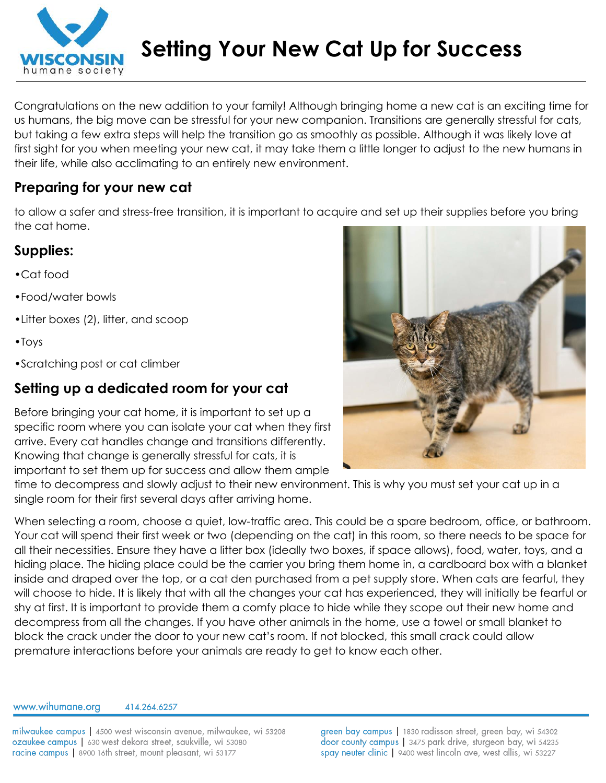

Congratulations on the new addition to your family! Although bringing home a new cat is an exciting time for us humans, the big move can be stressful for your new companion. Transitions are generally stressful for cats, but taking a few extra steps will help the transition go as smoothly as possible. Although it was likely love at first sight for you when meeting your new cat, it may take them a little longer to adjust to the new humans in their life, while also acclimating to an entirely new environment.

### **Preparing for your new cat**

to allow a safer and stress-free transition, it is important to acquire and set up their supplies before you bring the cat home.

## **Supplies:**

- •Cat food
- •Food/water bowls
- •Litter boxes (2), litter, and scoop
- •Toys
- •Scratching post or cat climber

## **Setting up a dedicated room for your cat**

Before bringing your cat home, it is important to set up a specific room where you can isolate your cat when they first arrive. Every cat handles change and transitions differently. Knowing that change is generally stressful for cats, it is important to set them up for success and allow them ample

time to decompress and slowly adjust to their new environment. This is why you must set your cat up in a single room for their first several days after arriving home.

When selecting a room, choose a quiet, low-traffic area. This could be a spare bedroom, office, or bathroom. Your cat will spend their first week or two (depending on the cat) in this room, so there needs to be space for all their necessities. Ensure they have a litter box (ideally two boxes, if space allows), food, water, toys, and a hiding place. The hiding place could be the carrier you bring them home in, a cardboard box with a blanket inside and draped over the top, or a cat den purchased from a pet supply store. When cats are fearful, they will choose to hide. It is likely that with all the changes your cat has experienced, they will initially be fearful or shy at first. It is important to provide them a comfy place to hide while they scope out their new home and decompress from all the changes. If you have other animals in the home, use a towel or small blanket to block the crack under the door to your new cat's room. If not blocked, this small crack could allow premature interactions before your animals are ready to get to know each other.

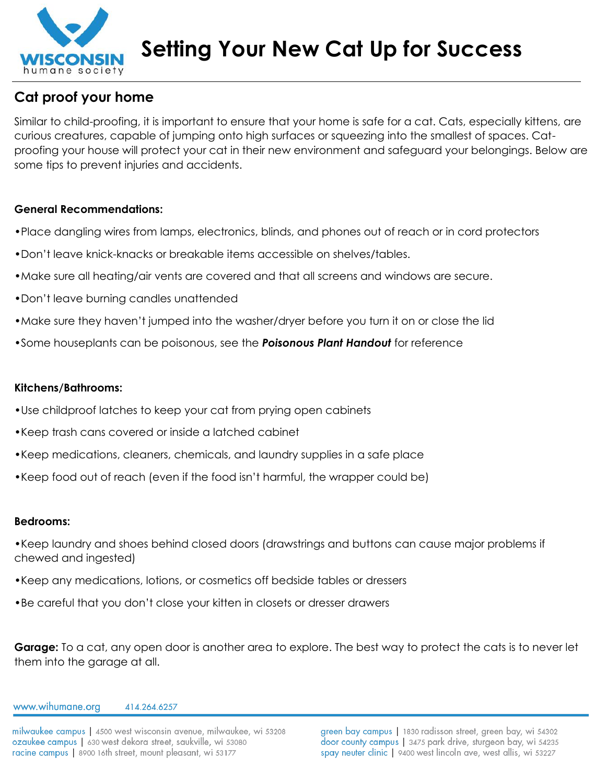

## **Cat proof your home**

Similar to child-proofing, it is important to ensure that your home is safe for a cat. Cats, especially kittens, are curious creatures, capable of jumping onto high surfaces or squeezing into the smallest of spaces. Catproofing your house will protect your cat in their new environment and safeguard your belongings. Below are some tips to prevent injuries and accidents.

#### **General Recommendations:**

- •Place dangling wires from lamps, electronics, blinds, and phones out of reach or in cord protectors
- •Don't leave knick-knacks or breakable items accessible on shelves/tables.
- •Make sure all heating/air vents are covered and that all screens and windows are secure.
- •Don't leave burning candles unattended
- •Make sure they haven't jumped into the washer/dryer before you turn it on or close the lid
- •Some houseplants can be poisonous, see the *Poisonous Plant Handout* for reference

#### **Kitchens/Bathrooms:**

- •Use childproof latches to keep your cat from prying open cabinets
- •Keep trash cans covered or inside a latched cabinet
- •Keep medications, cleaners, chemicals, and laundry supplies in a safe place
- •Keep food out of reach (even if the food isn't harmful, the wrapper could be)

#### **Bedrooms:**

- •Keep laundry and shoes behind closed doors (drawstrings and buttons can cause major problems if chewed and ingested)
- •Keep any medications, lotions, or cosmetics off bedside tables or dressers
- •Be careful that you don't close your kitten in closets or dresser drawers

**Garage:** To a cat, any open door is another area to explore. The best way to protect the cats is to never let them into the garage at all.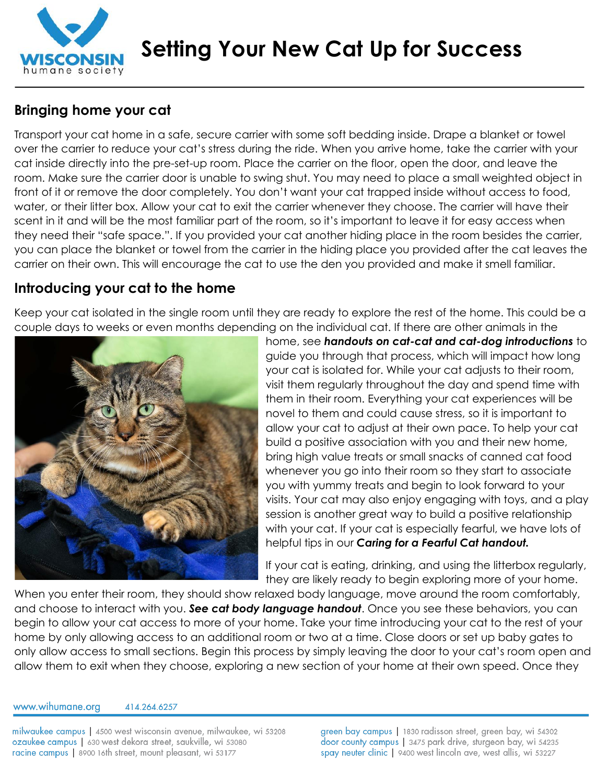

## **Bringing home your cat**

Transport your cat home in a safe, secure carrier with some soft bedding inside. Drape a blanket or towel over the carrier to reduce your cat's stress during the ride. When you arrive home, take the carrier with your cat inside directly into the pre-set-up room. Place the carrier on the floor, open the door, and leave the room. Make sure the carrier door is unable to swing shut. You may need to place a small weighted object in front of it or remove the door completely. You don't want your cat trapped inside without access to food, water, or their litter box. Allow your cat to exit the carrier whenever they choose. The carrier will have their scent in it and will be the most familiar part of the room, so it's important to leave it for easy access when they need their "safe space.". If you provided your cat another hiding place in the room besides the carrier, you can place the blanket or towel from the carrier in the hiding place you provided after the cat leaves the carrier on their own. This will encourage the cat to use the den you provided and make it smell familiar.

## **Introducing your cat to the home**

Keep your cat isolated in the single room until they are ready to explore the rest of the home. This could be a couple days to weeks or even months depending on the individual cat. If there are other animals in the



home, see *handouts on cat-cat and cat-dog introductions* to guide you through that process, which will impact how long your cat is isolated for. While your cat adjusts to their room, visit them regularly throughout the day and spend time with them in their room. Everything your cat experiences will be novel to them and could cause stress, so it is important to allow your cat to adjust at their own pace. To help your cat build a positive association with you and their new home, bring high value treats or small snacks of canned cat food whenever you go into their room so they start to associate you with yummy treats and begin to look forward to your visits. Your cat may also enjoy engaging with toys, and a play session is another great way to build a positive relationship with your cat. If your cat is especially fearful, we have lots of helpful tips in our *Caring for a Fearful Cat handout.*

If your cat is eating, drinking, and using the litterbox regularly, they are likely ready to begin exploring more of your home.

When you enter their room, they should show relaxed body language, move around the room comfortably, and choose to interact with you. *See cat body language handout*. Once you see these behaviors, you can begin to allow your cat access to more of your home. Take your time introducing your cat to the rest of your home by only allowing access to an additional room or two at a time. Close doors or set up baby gates to only allow access to small sections. Begin this process by simply leaving the door to your cat's room open and allow them to exit when they choose, exploring a new section of your home at their own speed. Once they

www.wihumane.org

414.264.6257

milwaukee campus | 4500 west wisconsin avenue, milwaukee, wi 53208 ozaukee campus | 630 west dekora street, saukville, wi 53080 racine campus | 8900 16th street, mount pleasant, wi 53177